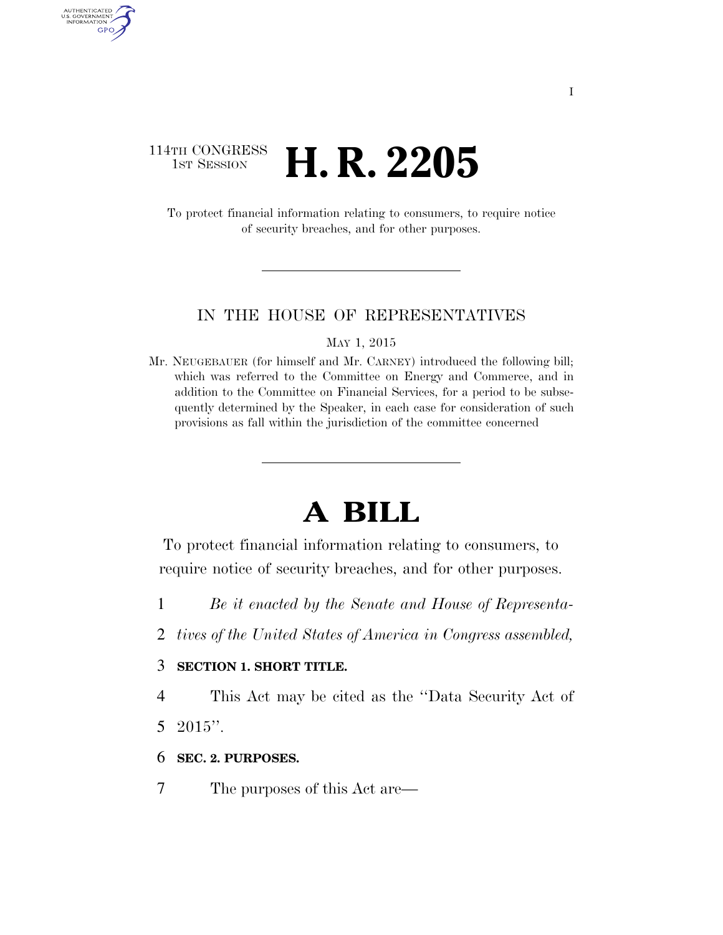## 114TH CONGRESS **1ST SESSION <b>H. R. 2205**

AUTHENTICATED<br>U.S. GOVERNMENT<br>INFORMATION GPO

> To protect financial information relating to consumers, to require notice of security breaches, and for other purposes.

#### IN THE HOUSE OF REPRESENTATIVES

MAY 1, 2015

Mr. NEUGEBAUER (for himself and Mr. CARNEY) introduced the following bill; which was referred to the Committee on Energy and Commerce, and in addition to the Committee on Financial Services, for a period to be subsequently determined by the Speaker, in each case for consideration of such provisions as fall within the jurisdiction of the committee concerned

# **A BILL**

To protect financial information relating to consumers, to require notice of security breaches, and for other purposes.

- 1 *Be it enacted by the Senate and House of Representa-*
- 2 *tives of the United States of America in Congress assembled,*

#### 3 **SECTION 1. SHORT TITLE.**

4 This Act may be cited as the ''Data Security Act of 5 2015''.

- 6 **SEC. 2. PURPOSES.**
- 7 The purposes of this Act are—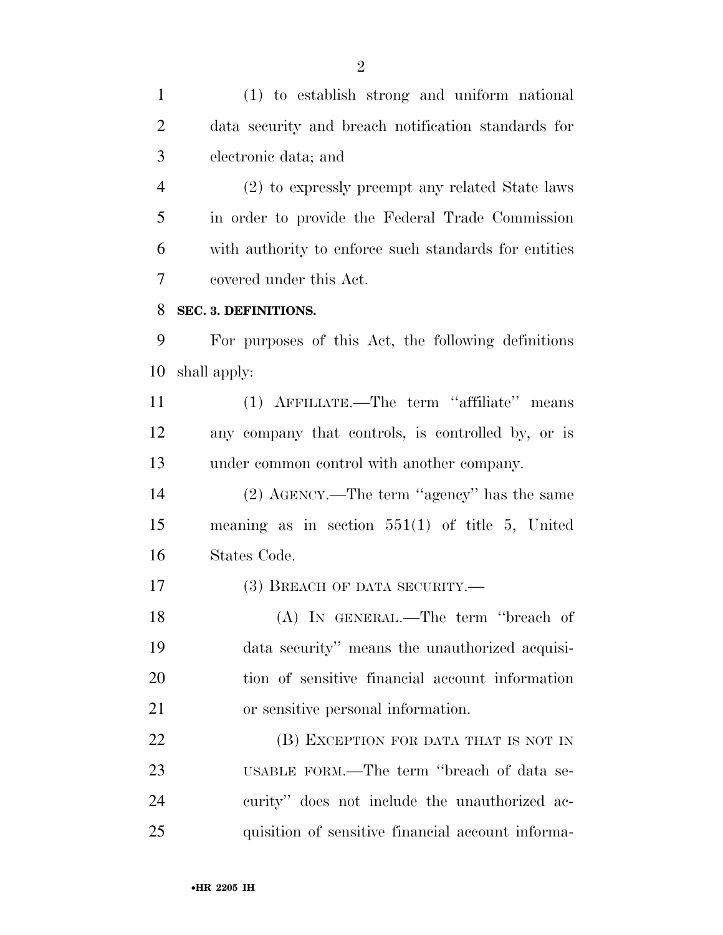(1) to establish strong and uniform national data security and breach notification standards for electronic data; and

 (2) to expressly preempt any related State laws in order to provide the Federal Trade Commission with authority to enforce such standards for entities covered under this Act.

#### **SEC. 3. DEFINITIONS.**

 For purposes of this Act, the following definitions shall apply:

 (1) AFFILIATE.—The term ''affiliate'' means any company that controls, is controlled by, or is under common control with another company.

 (2) AGENCY.—The term ''agency'' has the same meaning as in section 551(1) of title 5, United States Code.

17 (3) BREACH OF DATA SECURITY.—

 (A) IN GENERAL.—The term ''breach of data security'' means the unauthorized acquisi- tion of sensitive financial account information or sensitive personal information.

**(B) EXCEPTION FOR DATA THAT IS NOT IN**  USABLE FORM.—The term ''breach of data se- curity'' does not include the unauthorized ac-quisition of sensitive financial account informa-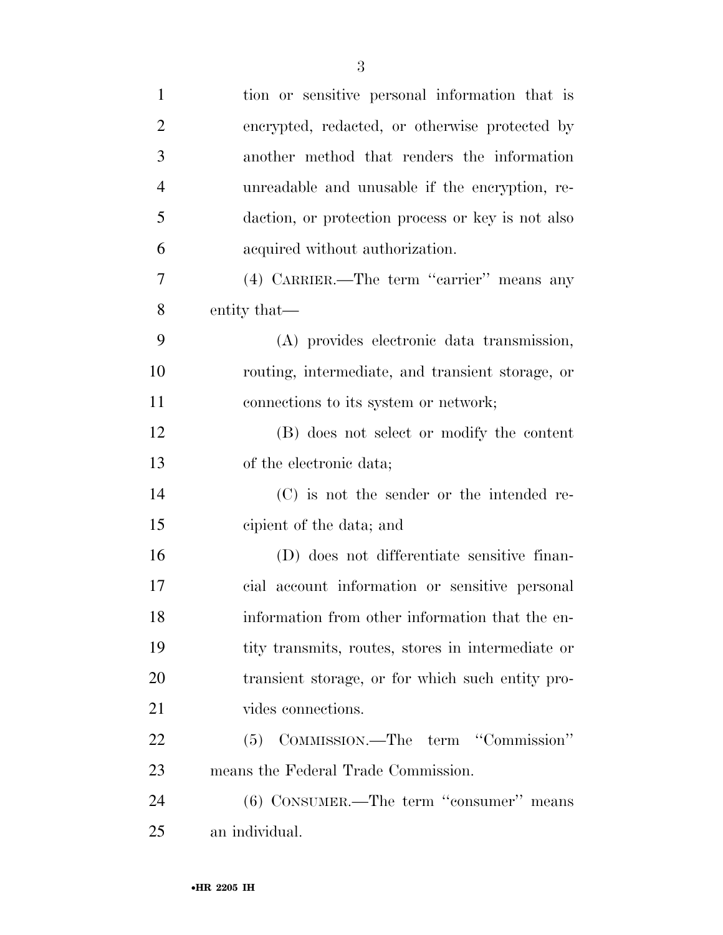| $\mathbf{1}$   | tion or sensitive personal information that is    |
|----------------|---------------------------------------------------|
| $\overline{2}$ | encrypted, redacted, or otherwise protected by    |
| 3              | another method that renders the information       |
| $\overline{4}$ | unreadable and unusable if the encryption, re-    |
| 5              | daction, or protection process or key is not also |
| 6              | acquired without authorization.                   |
| 7              | (4) CARRIER.—The term "carrier" means any         |
| 8              | entity that—                                      |
| 9              | (A) provides electronic data transmission,        |
| 10             | routing, intermediate, and transient storage, or  |
| <sup>11</sup>  | connections to its system or network;             |
| 12             | (B) does not select or modify the content         |
| 13             | of the electronic data;                           |
| 14             | (C) is not the sender or the intended re-         |
| 15             | cipient of the data; and                          |
| 16             | (D) does not differentiate sensitive finan-       |
| 17             | cial account information or sensitive personal    |
| 18             | information from other information that the en-   |
| 19             | tity transmits, routes, stores in intermediate or |
| 20             | transient storage, or for which such entity pro-  |
| 21             | vides connections.                                |
| 22             | (5) COMMISSION.—The term "Commission"             |
| 23             | means the Federal Trade Commission.               |
| 24             | $(6)$ CONSUMER.—The term "consumer" means         |
| 25             | an individual.                                    |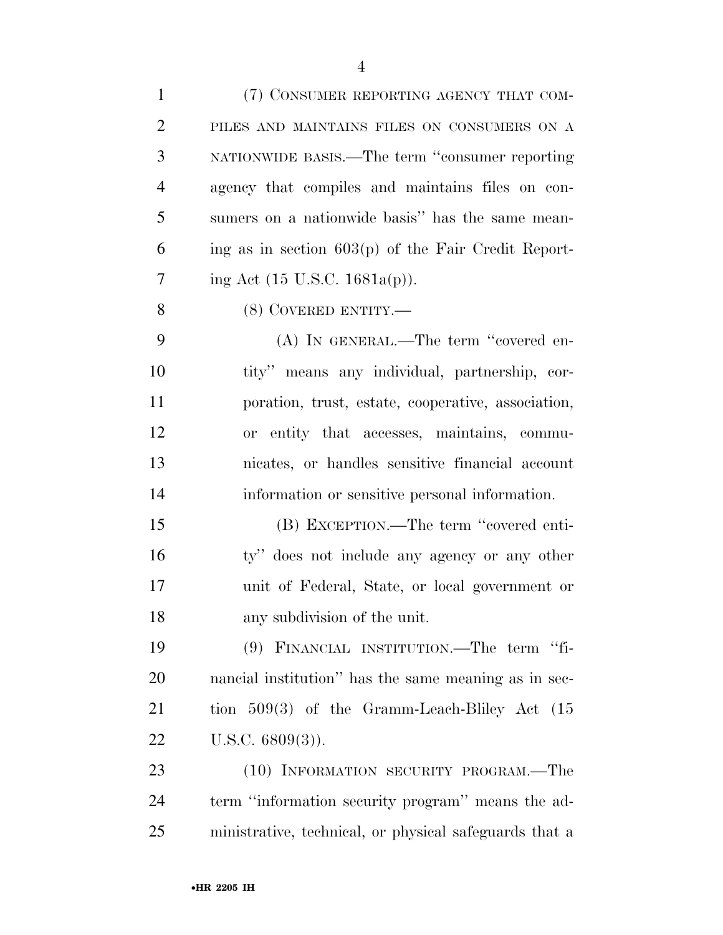| $\mathbf{1}$   | (7) CONSUMER REPORTING AGENCY THAT COM-                |
|----------------|--------------------------------------------------------|
| $\overline{2}$ | PILES AND MAINTAINS FILES ON CONSUMERS ON A            |
| 3              | NATIONWIDE BASIS.—The term "consumer reporting         |
| $\overline{4}$ | agency that compiles and maintains files on con-       |
| 5              | sumers on a nationwide basis" has the same mean-       |
| 6              | ing as in section $603(p)$ of the Fair Credit Report-  |
| 7              | ing Act $(15 \text{ U.S.C. } 1681a(p))$ .              |
| 8              | (8) COVERED ENTITY.—                                   |
| 9              | (A) IN GENERAL.—The term "covered en-                  |
| 10             | tity" means any individual, partnership, cor-          |
| 11             | poration, trust, estate, cooperative, association,     |
| 12             | or entity that accesses, maintains, commu-             |
| 13             | nicates, or handles sensitive financial account        |
| 14             | information or sensitive personal information.         |
| 15             | (B) EXCEPTION.—The term "covered enti-                 |
| 16             | ty" does not include any agency or any other           |
| 17             | unit of Federal, State, or local government or         |
| 18             | any subdivision of the unit.                           |
| 19             | (9) FINANCIAL INSTITUTION.—The term "fi-               |
| 20             | nancial institution" has the same meaning as in sec-   |
| 21             | tion $509(3)$ of the Gramm-Leach-Bliley Act $(15)$     |
| 22             | U.S.C. $6809(3)$ ).                                    |
| 23             | (10) INFORMATION SECURITY PROGRAM.—The                 |
| 24             | term "information security program" means the ad-      |
| 25             | ministrative, technical, or physical safeguards that a |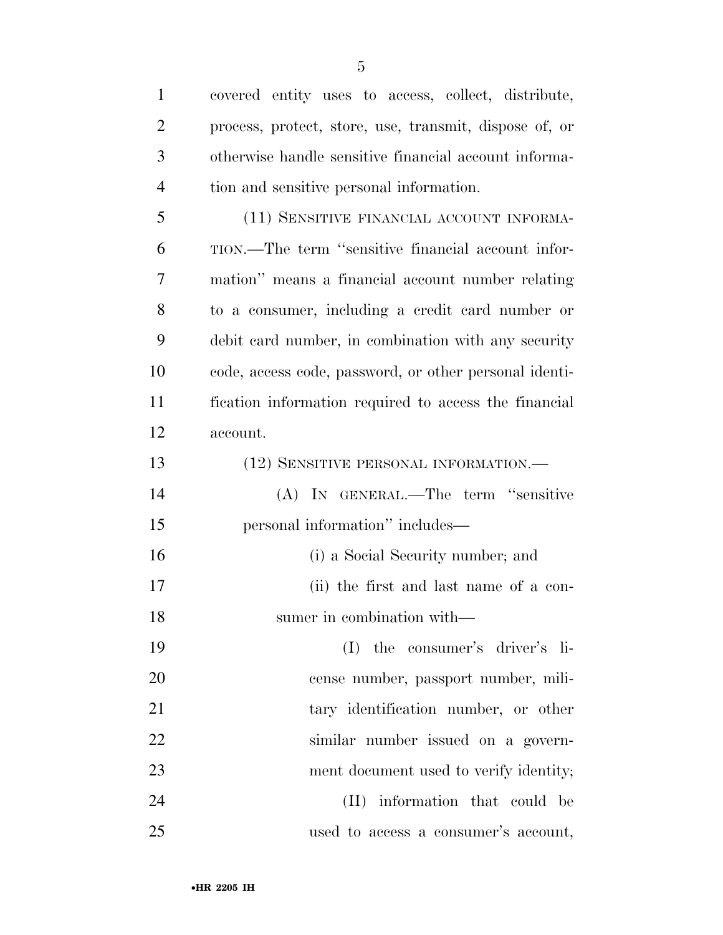| $\mathbf{1}$   | covered entity uses to access, collect, distribute,    |
|----------------|--------------------------------------------------------|
| $\overline{2}$ | process, protect, store, use, transmit, dispose of, or |
| 3              | otherwise handle sensitive financial account informa-  |
| $\overline{4}$ | tion and sensitive personal information.               |
| 5              | (11) SENSITIVE FINANCIAL ACCOUNT INFORMA-              |
| 6              | TION.—The term "sensitive financial account infor-     |
| 7              | mation" means a financial account number relating      |
| 8              | to a consumer, including a credit card number or       |
| 9              | debit card number, in combination with any security    |
| 10             | code, access code, password, or other personal identi- |
| 11             | fication information required to access the financial  |
| 12             | account.                                               |
| 13             | (12) SENSITIVE PERSONAL INFORMATION.—                  |
| 14             | (A) IN GENERAL.—The term "sensitive                    |
| 15             | personal information" includes—                        |
| 16             | (i) a Social Security number; and                      |
| 17             | (ii) the first and last name of a con-                 |
| 18             | sumer in combination with—                             |
| 19             | the consumer's driver's li-<br>(I)                     |
| 20             | cense number, passport number, mili-                   |
| 21             | tary identification number, or other                   |
| 22             | similar number issued on a govern-                     |
| 23             | ment document used to verify identity;                 |
| 24             | (II) information that could be                         |
| 25             | used to access a consumer's account,                   |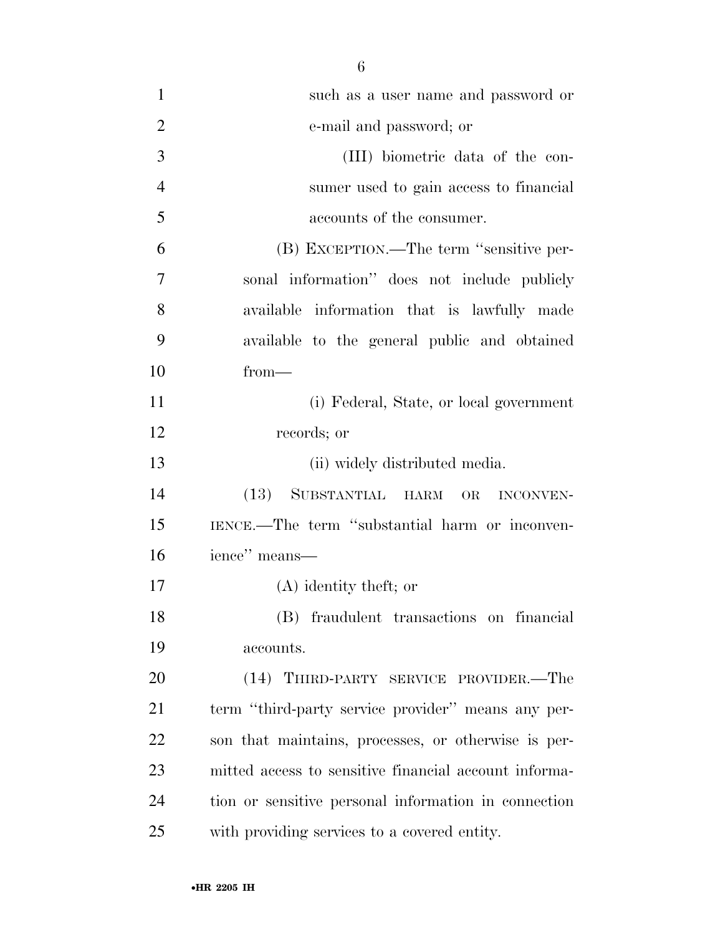| $\mathbf{1}$   | such as a user name and password or                   |
|----------------|-------------------------------------------------------|
| $\overline{2}$ | e-mail and password; or                               |
| 3              | (III) biometric data of the con-                      |
| $\overline{4}$ | sumer used to gain access to financial                |
| 5              | accounts of the consumer.                             |
| 6              | (B) EXCEPTION.—The term "sensitive per-               |
| 7              | sonal information" does not include publicly          |
| 8              | available information that is lawfully made           |
| 9              | available to the general public and obtained          |
| 10             | $from-$                                               |
| 11             | (i) Federal, State, or local government               |
| 12             | records; or                                           |
| 13             | (ii) widely distributed media.                        |
| 14             | SUBSTANTIAL HARM OR<br>(13)<br><b>INCONVEN-</b>       |
| 15             | IENCE.—The term "substantial harm or inconven-        |
| 16             | ience" means-                                         |
| 17             | $(A)$ identity theft; or                              |
| 18             | (B) fraudulent transactions on financial              |
| 19             | accounts.                                             |
| 20             | (14) THIRD-PARTY SERVICE PROVIDER.—The                |
| 21             | term "third-party service provider" means any per-    |
| 22             | son that maintains, processes, or otherwise is per-   |
| 23             | mitted access to sensitive financial account informa- |
| 24             | tion or sensitive personal information in connection  |
| 25             | with providing services to a covered entity.          |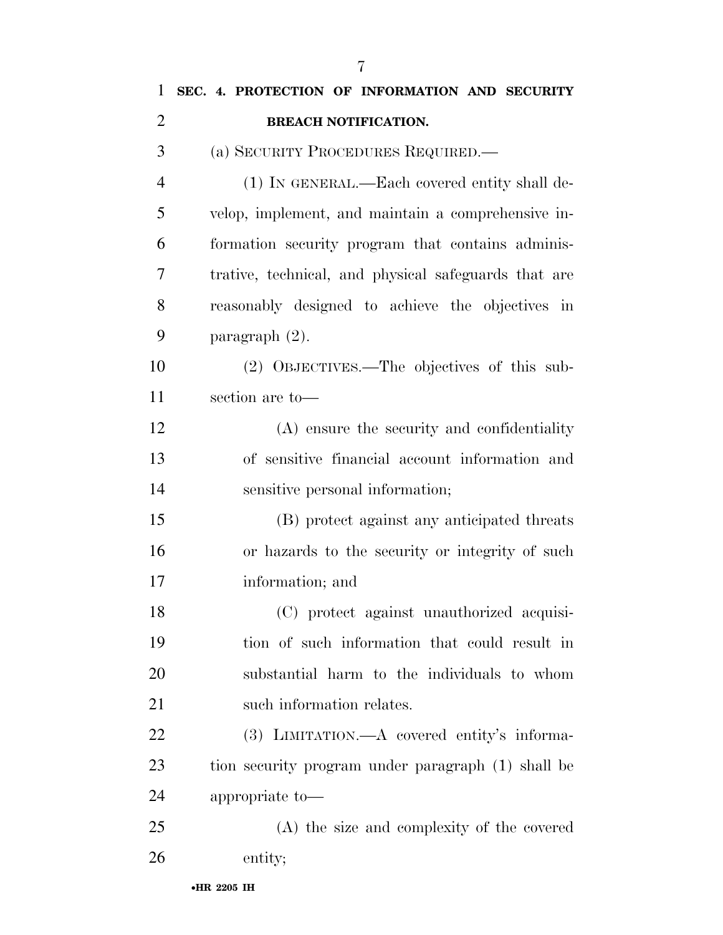| 1              | SEC. 4. PROTECTION OF INFORMATION AND SECURITY       |
|----------------|------------------------------------------------------|
| $\overline{2}$ | <b>BREACH NOTIFICATION.</b>                          |
| 3              | (a) SECURITY PROCEDURES REQUIRED.—                   |
| $\overline{4}$ | (1) IN GENERAL.—Each covered entity shall de-        |
| 5              | velop, implement, and maintain a comprehensive in-   |
| 6              | formation security program that contains adminis-    |
| 7              | trative, technical, and physical safeguards that are |
| 8              | reasonably designed to achieve the objectives in     |
| 9              | paragraph $(2)$ .                                    |
| 10             | (2) OBJECTIVES.—The objectives of this sub-          |
| 11             | section are to-                                      |
| 12             | (A) ensure the security and confidentiality          |
| 13             | of sensitive financial account information and       |
| 14             | sensitive personal information;                      |
| 15             | (B) protect against any anticipated threats          |
| 16             | or hazards to the security or integrity of such      |
| 17             | information; and                                     |
| 18             | (C) protect against unauthorized acquisi-            |
| 19             | tion of such information that could result in        |
| 20             | substantial harm to the individuals to whom          |
| 21             | such information relates.                            |
| 22             | (3) LIMITATION.—A covered entity's informa-          |
| 23             | tion security program under paragraph (1) shall be   |
| 24             | appropriate to-                                      |
| 25             | (A) the size and complexity of the covered           |
| 26             | entity;                                              |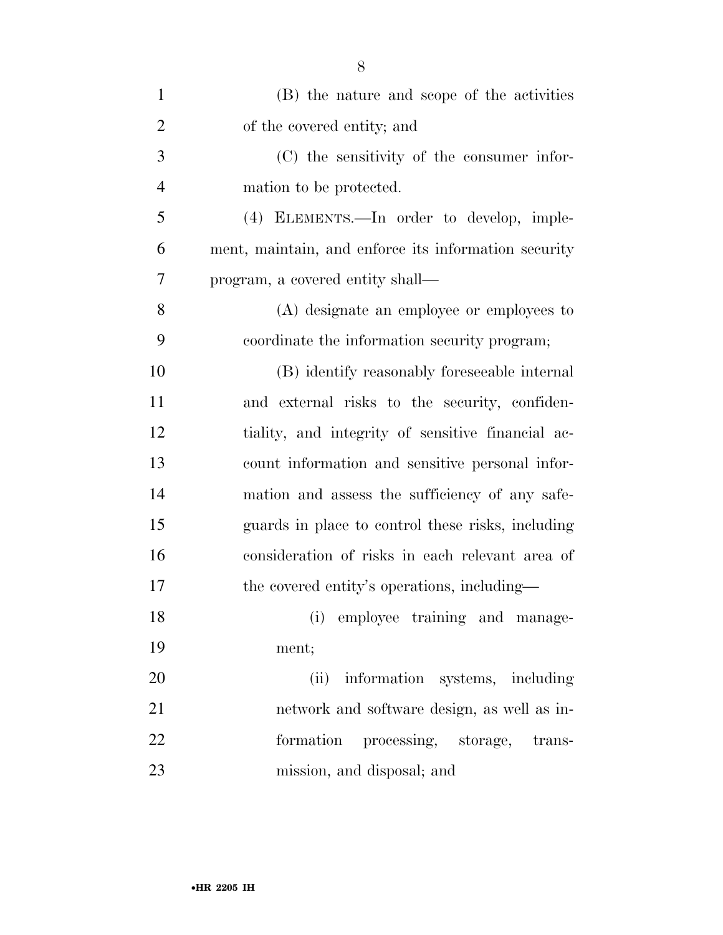| $\mathbf{1}$   | (B) the nature and scope of the activities           |
|----------------|------------------------------------------------------|
| $\overline{2}$ | of the covered entity; and                           |
| 3              | (C) the sensitivity of the consumer infor-           |
| $\overline{4}$ | mation to be protected.                              |
| 5              | (4) ELEMENTS.—In order to develop, imple-            |
| 6              | ment, maintain, and enforce its information security |
| $\overline{7}$ | program, a covered entity shall—                     |
| 8              | (A) designate an employee or employees to            |
| 9              | coordinate the information security program;         |
| 10             | (B) identify reasonably foreseeable internal         |
| 11             | and external risks to the security, confiden-        |
| 12             | tiality, and integrity of sensitive financial ac-    |
| 13             | count information and sensitive personal infor-      |
| 14             | mation and assess the sufficiency of any safe-       |
| 15             | guards in place to control these risks, including    |
| 16             | consideration of risks in each relevant area of      |
| 17             | the covered entity's operations, including—          |
| 18             | (i) employee training and manage-                    |
| 19             | ment;                                                |
| 20             | (ii) information systems, including                  |
| 21             | network and software design, as well as in-          |
| 22             | formation processing, storage, trans-                |
| 23             | mission, and disposal; and                           |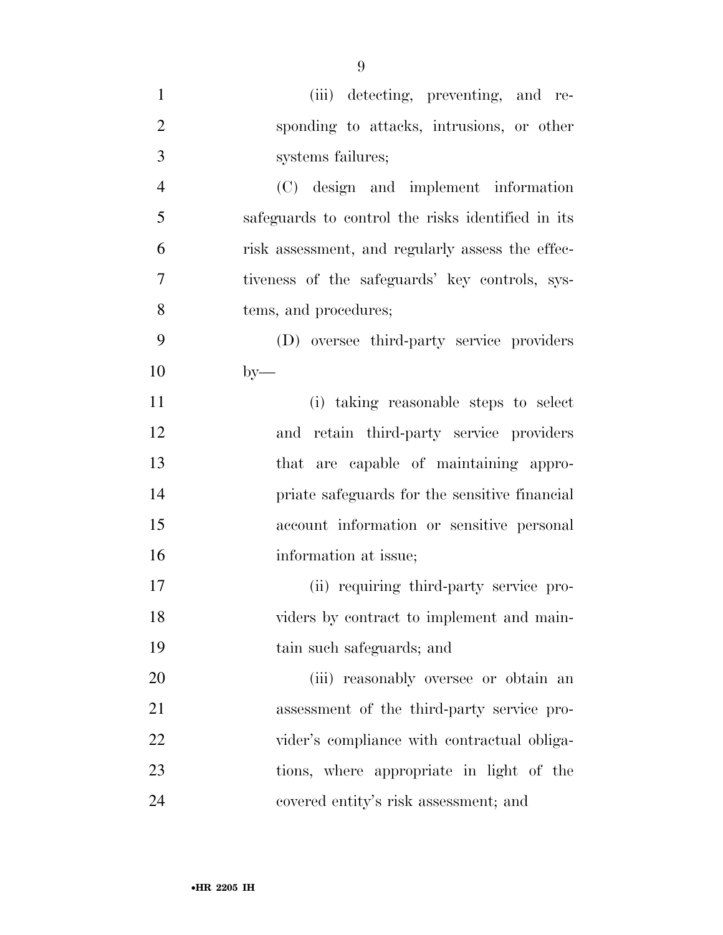| $\mathbf{1}$   | (iii) detecting, preventing, and re-              |
|----------------|---------------------------------------------------|
| $\overline{2}$ | sponding to attacks, intrusions, or other         |
| 3              | systems failures;                                 |
| $\overline{4}$ | (C) design and implement information              |
| 5              | safeguards to control the risks identified in its |
| 6              | risk assessment, and regularly assess the effec-  |
| $\overline{7}$ | tiveness of the safeguards' key controls, sys-    |
| 8              | tems, and procedures;                             |
| 9              | (D) oversee third-party service providers         |
| 10             | $by-$                                             |
| 11             | (i) taking reasonable steps to select             |
| 12             | and retain third-party service providers          |
| 13             | that are capable of maintaining appro-            |
| 14             | priate safeguards for the sensitive financial     |
| 15             | account information or sensitive personal         |
| 16             | information at issue;                             |
| 17             | (ii) requiring third-party service pro-           |
| 18             | viders by contract to implement and main-         |
| 19             | tain such safeguards; and                         |
| 20             | (iii) reasonably oversee or obtain an             |
| 21             | assessment of the third-party service pro-        |
| 22             | vider's compliance with contractual obliga-       |
| 23             | tions, where appropriate in light of the          |
| 24             | covered entity's risk assessment; and             |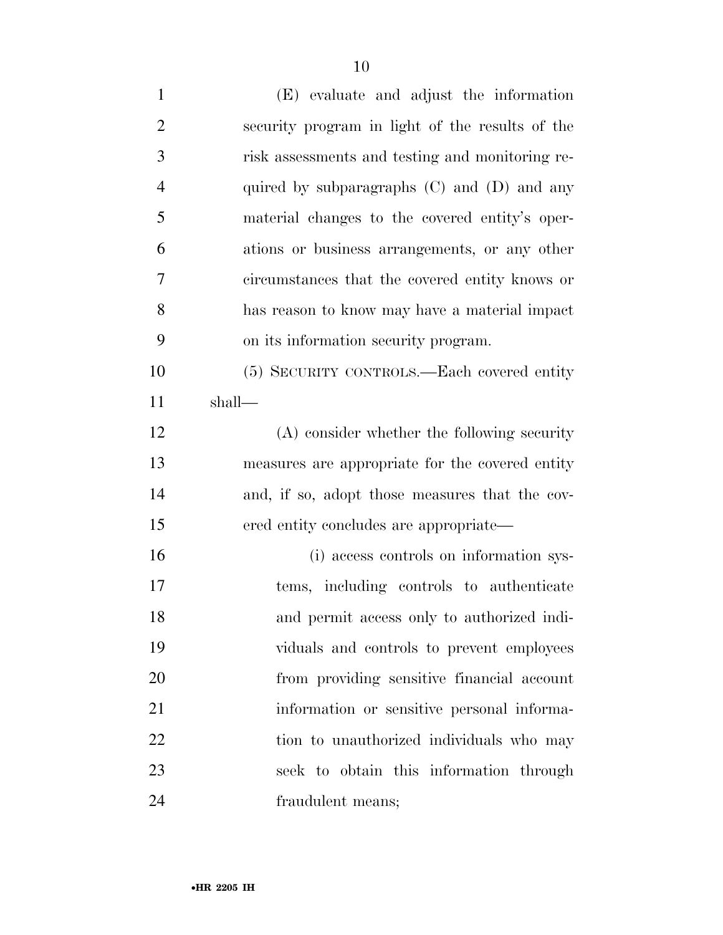| $\mathbf{1}$   | (E) evaluate and adjust the information         |
|----------------|-------------------------------------------------|
| $\overline{2}$ | security program in light of the results of the |
| 3              | risk assessments and testing and monitoring re- |
| $\overline{4}$ | quired by subparagraphs $(C)$ and $(D)$ and any |
| 5              | material changes to the covered entity's oper-  |
| 6              | ations or business arrangements, or any other   |
| $\tau$         | circumstances that the covered entity knows or  |
| 8              | has reason to know may have a material impact   |
| 9              | on its information security program.            |
| 10             | (5) SECURITY CONTROLS.—Each covered entity      |
| 11             | shall—                                          |
| 12             | (A) consider whether the following security     |
| 13             | measures are appropriate for the covered entity |
| 14             | and, if so, adopt those measures that the cov-  |
| 15             | ered entity concludes are appropriate—          |
| 16             | (i) access controls on information sys-         |
| 17             | tems, including controls to authenticate        |
| 18             | and permit access only to authorized indi-      |
| 19             | viduals and controls to prevent employees       |
| 20             | from providing sensitive financial account      |
| 21             | information or sensitive personal informa-      |
| 22             | tion to unauthorized individuals who may        |
| 23             | seek to obtain this information through         |
| 24             | fraudulent means;                               |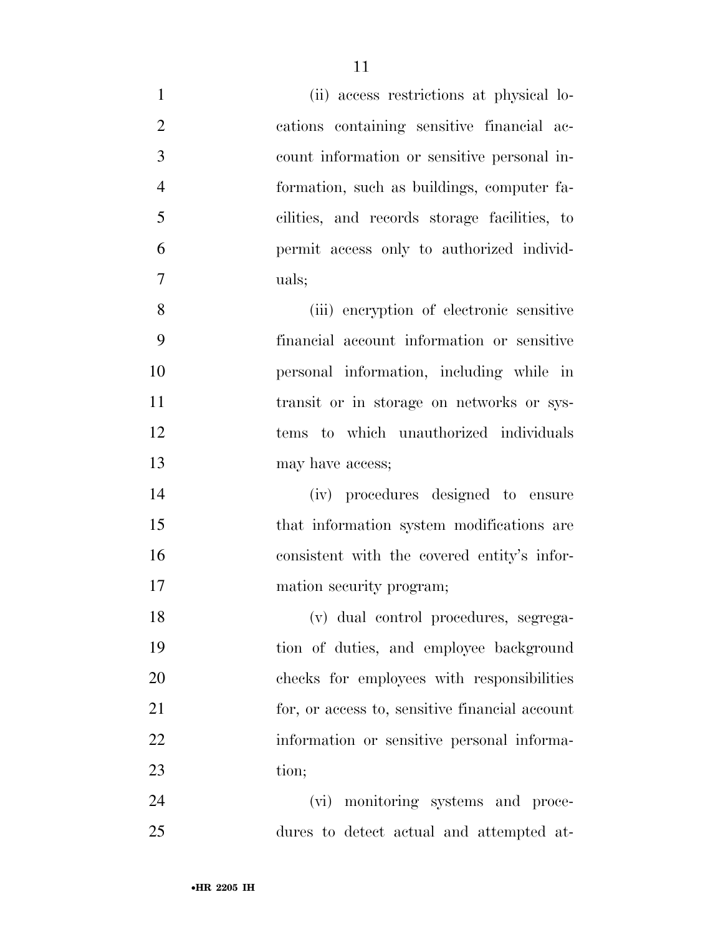| $\mathbf{1}$   | (ii) access restrictions at physical lo-       |
|----------------|------------------------------------------------|
| $\overline{2}$ | cations containing sensitive financial ac-     |
| 3              | count information or sensitive personal in-    |
| $\overline{4}$ | formation, such as buildings, computer fa-     |
| 5              | cilities, and records storage facilities, to   |
| 6              | permit access only to authorized individ-      |
| 7              | uals;                                          |
| 8              | (iii) encryption of electronic sensitive       |
| 9              | financial account information or sensitive     |
| 10             | personal information, including while in       |
| 11             | transit or in storage on networks or sys-      |
| 12             | tems to which unauthorized individuals         |
| 13             | may have access;                               |
| 14             | (iv) procedures designed to ensure             |
| 15             | that information system modifications are      |
| 16             | consistent with the covered entity's infor-    |
| 17             | mation security program;                       |
| 18             | (v) dual control procedures, segrega-          |
| 19             | tion of duties, and employee background        |
| 20             | checks for employees with responsibilities     |
| 21             | for, or access to, sensitive financial account |
| 22             | information or sensitive personal informa-     |
| 23             | tion;                                          |
| 24             | (vi) monitoring systems and proce-             |
| 25             | dures to detect actual and attempted at-       |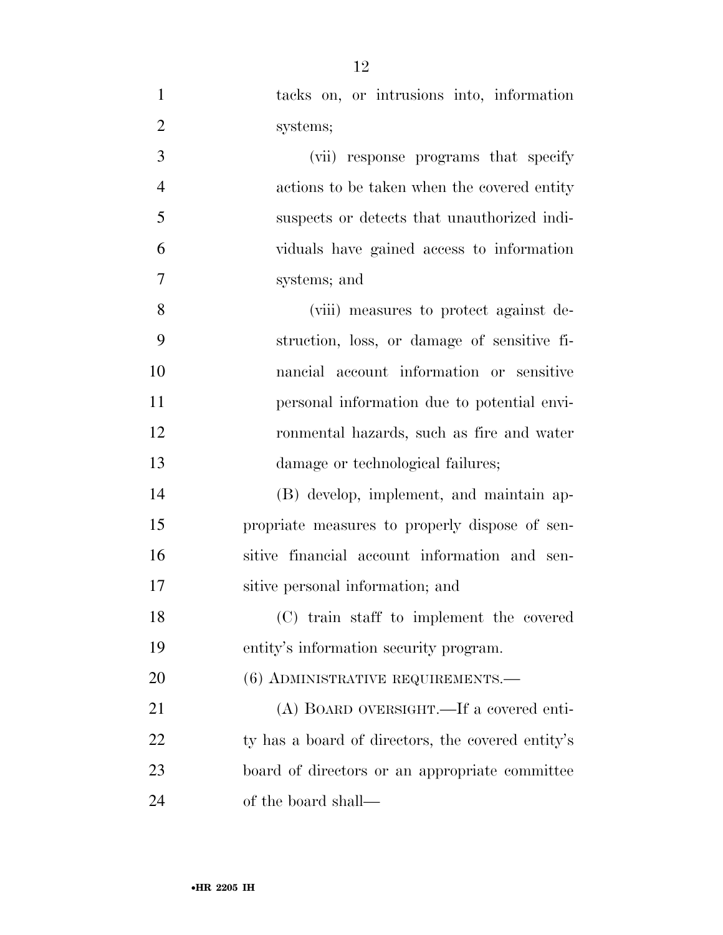tacks on, or intrusions into, information systems; (vii) response programs that specify actions to be taken when the covered entity suspects or detects that unauthorized indi- viduals have gained access to information systems; and (viii) measures to protect against de- struction, loss, or damage of sensitive fi- nancial account information or sensitive personal information due to potential envi- ronmental hazards, such as fire and water 13 damage or technological failures; (B) develop, implement, and maintain ap- propriate measures to properly dispose of sen- sitive financial account information and sen- sitive personal information; and (C) train staff to implement the covered entity's information security program. 20 (6) ADMINISTRATIVE REQUIREMENTS.— (A) BOARD OVERSIGHT.—If a covered enti-22 ty has a board of directors, the covered entity's board of directors or an appropriate committee

of the board shall—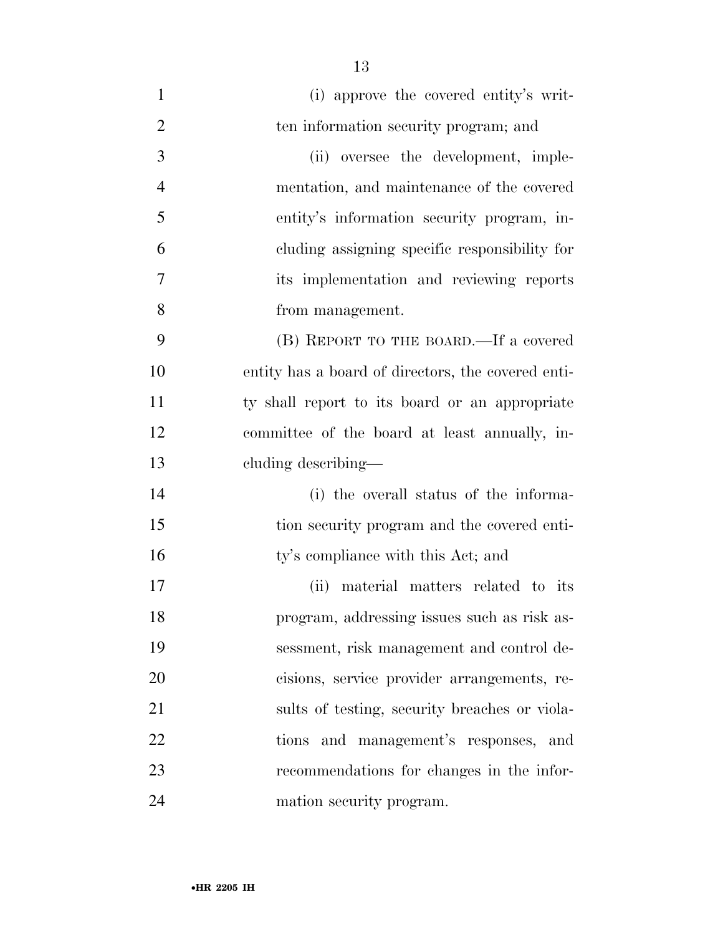| $\mathbf{1}$   | (i) approve the covered entity's writ-             |
|----------------|----------------------------------------------------|
| $\overline{2}$ | ten information security program; and              |
| 3              | (ii) oversee the development, imple-               |
| $\overline{4}$ | mentation, and maintenance of the covered          |
| 5              | entity's information security program, in-         |
| 6              | cluding assigning specific responsibility for      |
| 7              | its implementation and reviewing reports           |
| 8              | from management.                                   |
| 9              | (B) REPORT TO THE BOARD.—If a covered              |
| 10             | entity has a board of directors, the covered enti- |
| 11             | ty shall report to its board or an appropriate     |
| 12             | committee of the board at least annually, in-      |
| 13             | cluding describing—                                |
| 14             | (i) the overall status of the informa-             |
| 15             | tion security program and the covered enti-        |
| 16             | ty's compliance with this Act; and                 |
| 17             | (ii) material matters related to its               |
| 18             | program, addressing issues such as risk as-        |
| 19             | sessment, risk management and control de-          |
| 20             | cisions, service provider arrangements, re-        |
| 21             | sults of testing, security breaches or viola-      |
| 22             | tions and management's responses, and              |
| 23             | recommendations for changes in the infor-          |
| 24             | mation security program.                           |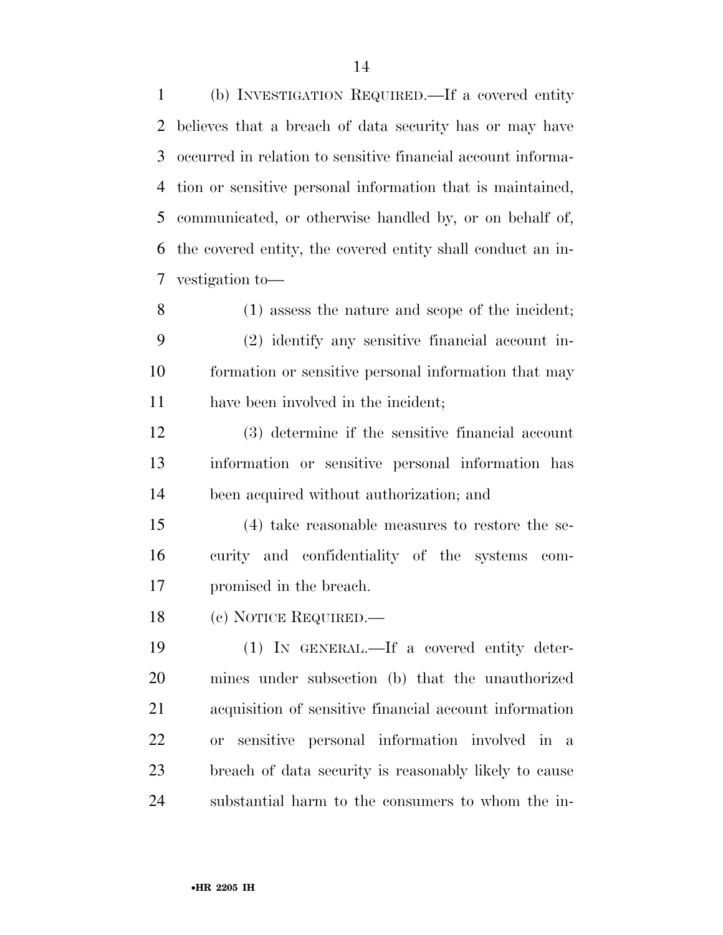(b) INVESTIGATION REQUIRED.—If a covered entity believes that a breach of data security has or may have occurred in relation to sensitive financial account informa- tion or sensitive personal information that is maintained, communicated, or otherwise handled by, or on behalf of, the covered entity, the covered entity shall conduct an in-vestigation to—

 (1) assess the nature and scope of the incident; (2) identify any sensitive financial account in- formation or sensitive personal information that may have been involved in the incident;

 (3) determine if the sensitive financial account information or sensitive personal information has been acquired without authorization; and

 (4) take reasonable measures to restore the se- curity and confidentiality of the systems com-promised in the breach.

(c) NOTICE REQUIRED.—

 (1) IN GENERAL.—If a covered entity deter- mines under subsection (b) that the unauthorized acquisition of sensitive financial account information or sensitive personal information involved in a breach of data security is reasonably likely to cause substantial harm to the consumers to whom the in-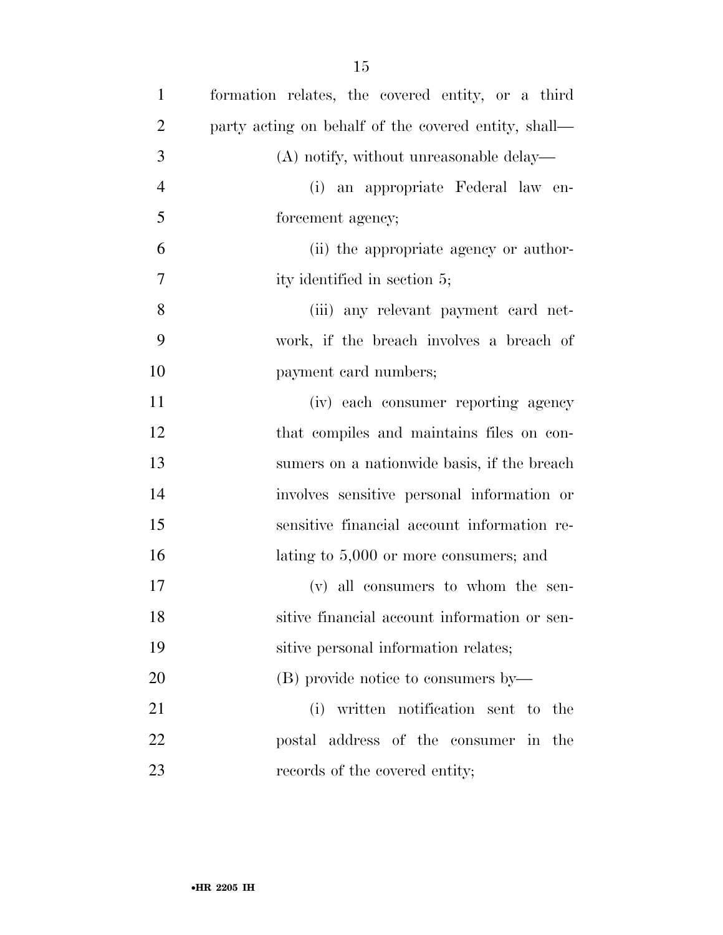| $\mathbf{1}$   | formation relates, the covered entity, or a third    |
|----------------|------------------------------------------------------|
| $\overline{2}$ | party acting on behalf of the covered entity, shall— |
| 3              | $(A)$ notify, without unreasonable delay—            |
| $\overline{4}$ | (i) an appropriate Federal law en-                   |
| 5              | forcement agency;                                    |
| 6              | (ii) the appropriate agency or author-               |
| $\tau$         | ity identified in section 5;                         |
| 8              | (iii) any relevant payment card net-                 |
| 9              | work, if the breach involves a breach of             |
| 10             | payment card numbers;                                |
| 11             | (iv) each consumer reporting agency                  |
| 12             | that compiles and maintains files on con-            |
| 13             | sumers on a nationwide basis, if the breach          |
| 14             | involves sensitive personal information or           |
| 15             | sensitive financial account information re-          |
| 16             | lating to $5,000$ or more consumers; and             |
| 17             | (v) all consumers to whom the sen-                   |
| 18             | sitive financial account information or sen-         |
| 19             | sitive personal information relates;                 |
| 20             | (B) provide notice to consumers by—                  |
| 21             | written notification sent to the<br>(i)              |
| 22             | postal address of the consumer in the                |
| 23             | records of the covered entity;                       |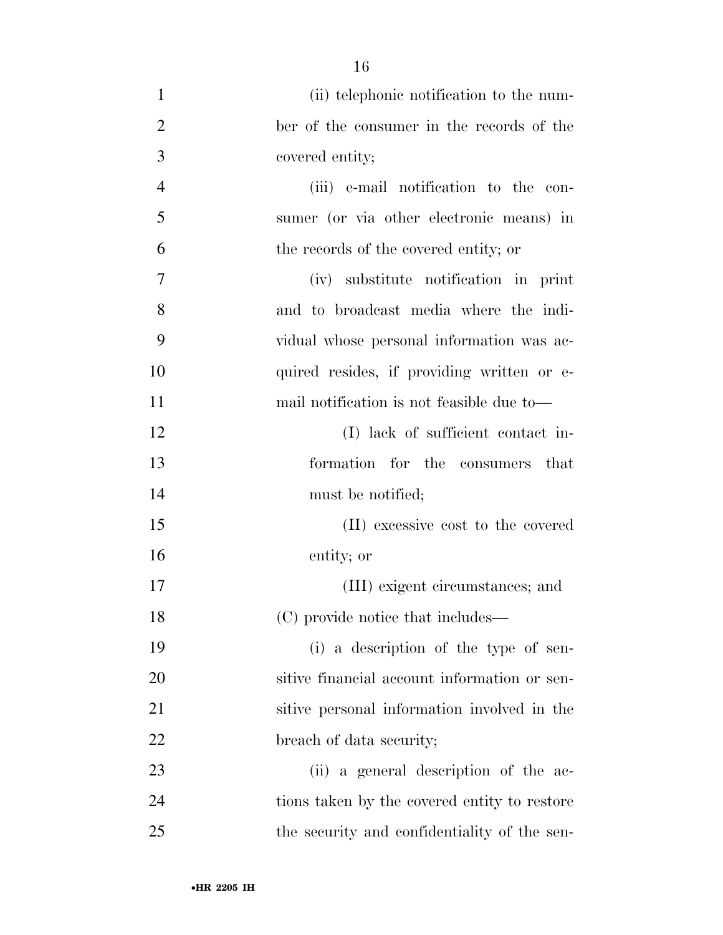| $\mathbf{1}$   | (ii) telephonic notification to the num-     |
|----------------|----------------------------------------------|
| $\overline{2}$ | ber of the consumer in the records of the    |
| 3              | covered entity;                              |
| $\overline{4}$ | (iii) e-mail notification to the con-        |
| 5              | sumer (or via other electronic means) in     |
| 6              | the records of the covered entity; or        |
| 7              | (iv) substitute notification in print        |
| 8              | and to broadcast media where the indi-       |
| 9              | vidual whose personal information was ac-    |
| 10             | quired resides, if providing written or e-   |
| 11             | mail notification is not feasible due to—    |
| 12             | (I) lack of sufficient contact in-           |
| 13             | formation for the<br>consumers<br>that       |
| 14             | must be notified;                            |
| 15             | (II) excessive cost to the covered           |
| 16             | entity; or                                   |
| 17             | (III) exigent circumstances; and             |
| 18             | (C) provide notice that includes—            |
| 19             | (i) a description of the type of sen-        |
| 20             | sitive financial account information or sen- |
| 21             | sitive personal information involved in the  |
| 22             | breach of data security;                     |
| 23             | (ii) a general description of the ac-        |
| 24             | tions taken by the covered entity to restore |
| 25             | the security and confidentiality of the sen- |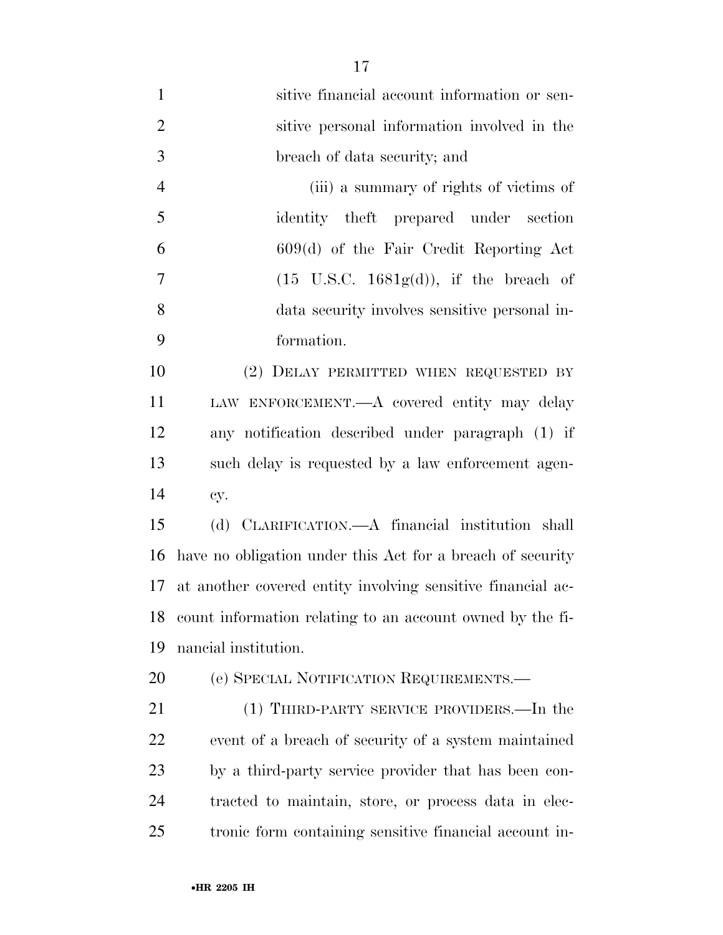| $\mathbf{1}$     | sitive financial account information or sen-                |
|------------------|-------------------------------------------------------------|
| $\overline{2}$   | sitive personal information involved in the                 |
| $\overline{3}$   | breach of data security; and                                |
| $\overline{4}$   | (iii) a summary of rights of victims of                     |
| 5                | identity theft prepared under section                       |
| 6                | $609(d)$ of the Fair Credit Reporting Act                   |
| $\boldsymbol{7}$ | $(15 \text{ U.S.C. } 1681g(d)),$ if the breach of           |
| 8                | data security involves sensitive personal in-               |
| 9                | formation.                                                  |
| 10               | (2) DELAY PERMITTED WHEN REQUESTED BY                       |
| 11               | LAW ENFORCEMENT.—A covered entity may delay                 |
| 12               | any notification described under paragraph (1) if           |
| 13               | such delay is requested by a law enforcement agen-          |
| 14               | cy.                                                         |
| 15               | (d) CLARIFICATION.—A financial institution shall            |
| 16               | have no obligation under this Act for a breach of security  |
| 17               | at another covered entity involving sensitive financial ac- |
| 18               | count information relating to an account owned by the fi-   |
| 19               | nancial institution.                                        |
| 20               | (e) SPECIAL NOTIFICATION REQUIREMENTS.                      |
| 21               | (1) THIRD-PARTY SERVICE PROVIDERS.—In the                   |
| 22               | event of a breach of security of a system maintained        |
| 23               | by a third-party service provider that has been con-        |
| 24               | tracted to maintain, store, or process data in elec-        |
| 25               | tronic form containing sensitive financial account in-      |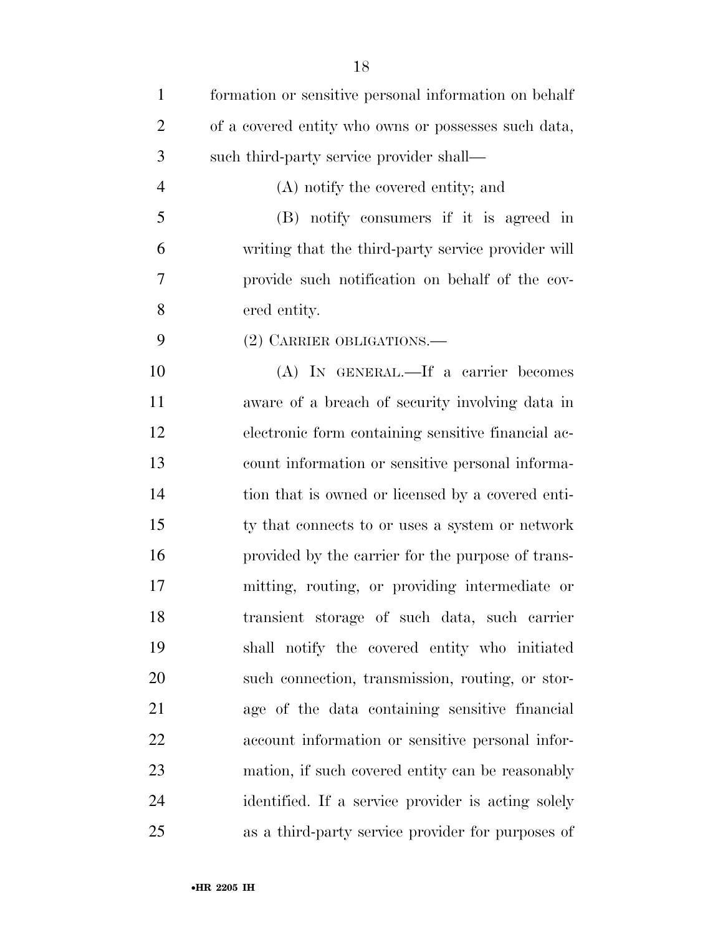| $\mathbf{1}$   | formation or sensitive personal information on behalf |
|----------------|-------------------------------------------------------|
| $\overline{2}$ | of a covered entity who owns or possesses such data,  |
| 3              | such third-party service provider shall—              |
| $\overline{4}$ | (A) notify the covered entity; and                    |
| 5              | (B) notify consumers if it is agreed in               |
| 6              | writing that the third-party service provider will    |
| 7              | provide such notification on behalf of the cov-       |
| 8              | ered entity.                                          |
| 9              | (2) CARRIER OBLIGATIONS.                              |
| 10             | (A) IN GENERAL.—If a carrier becomes                  |
| 11             | aware of a breach of security involving data in       |
| 12             | electronic form containing sensitive financial ac-    |
| 13             | count information or sensitive personal informa-      |
| 14             | tion that is owned or licensed by a covered enti-     |
| 15             | ty that connects to or uses a system or network       |
| 16             | provided by the carrier for the purpose of trans-     |
| 17             | mitting, routing, or providing intermediate or        |
| 18             | transient storage of such data, such carrier          |
| 19             | shall notify the covered entity who initiated         |
| 20             | such connection, transmission, routing, or stor-      |
| 21             | age of the data containing sensitive financial        |
| 22             | account information or sensitive personal infor-      |
| 23             | mation, if such covered entity can be reasonably      |
| 24             | identified. If a service provider is acting solely    |
| 25             | as a third-party service provider for purposes of     |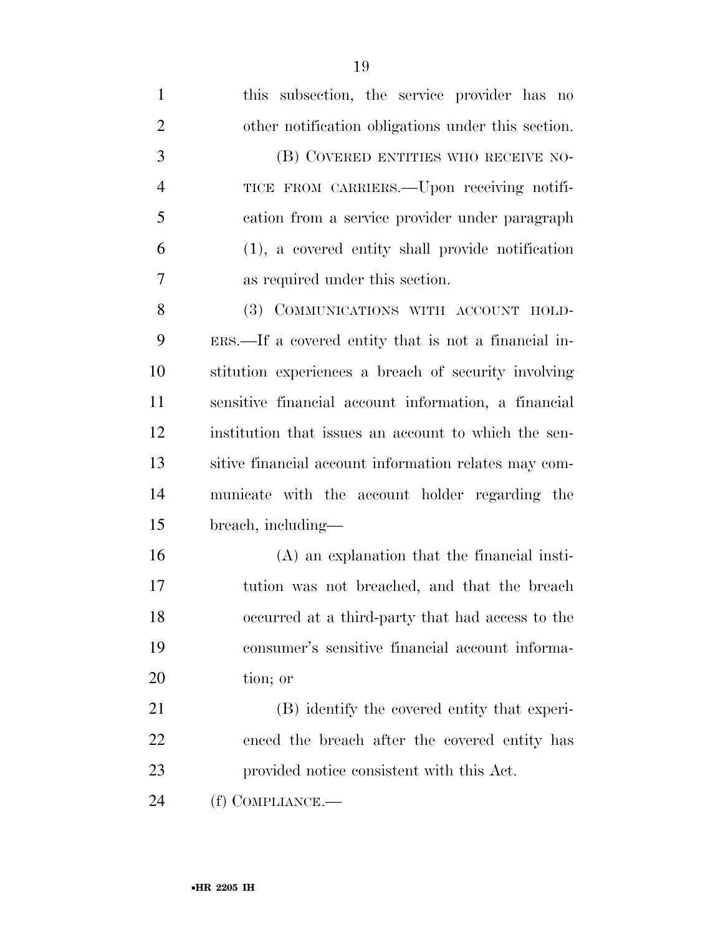| $\mathbf{1}$   | this subsection, the service provider has no          |
|----------------|-------------------------------------------------------|
| $\overline{2}$ | other notification obligations under this section.    |
| 3              | (B) COVERED ENTITIES WHO RECEIVE NO-                  |
| $\overline{4}$ | TICE FROM CARRIERS.—Upon receiving notifi-            |
| 5              | cation from a service provider under paragraph        |
| 6              | (1), a covered entity shall provide notification      |
| 7              | as required under this section.                       |
| 8              | (3) COMMUNICATIONS WITH ACCOUNT HOLD-                 |
| 9              | ERS.—If a covered entity that is not a financial in-  |
| 10             | stitution experiences a breach of security involving  |
| 11             | sensitive financial account information, a financial  |
| 12             | institution that issues an account to which the sen-  |
| 13             | sitive financial account information relates may com- |
| 14             | municate with the account holder regarding the        |
| 15             | breach, including—                                    |
| 16             | (A) an explanation that the financial insti-          |
| 17             | tution was not breached, and that the breach          |
| 18             | occurred at a third-party that had access to the      |
| 19             | consumer's sensitive financial account informa-       |
| 20             | tion; or                                              |
| 21             | (B) identify the covered entity that experi-          |
| 22             | enced the breach after the covered entity has         |
| 23             | provided notice consistent with this Act.             |
| 24             | (f) COMPLIANCE.-                                      |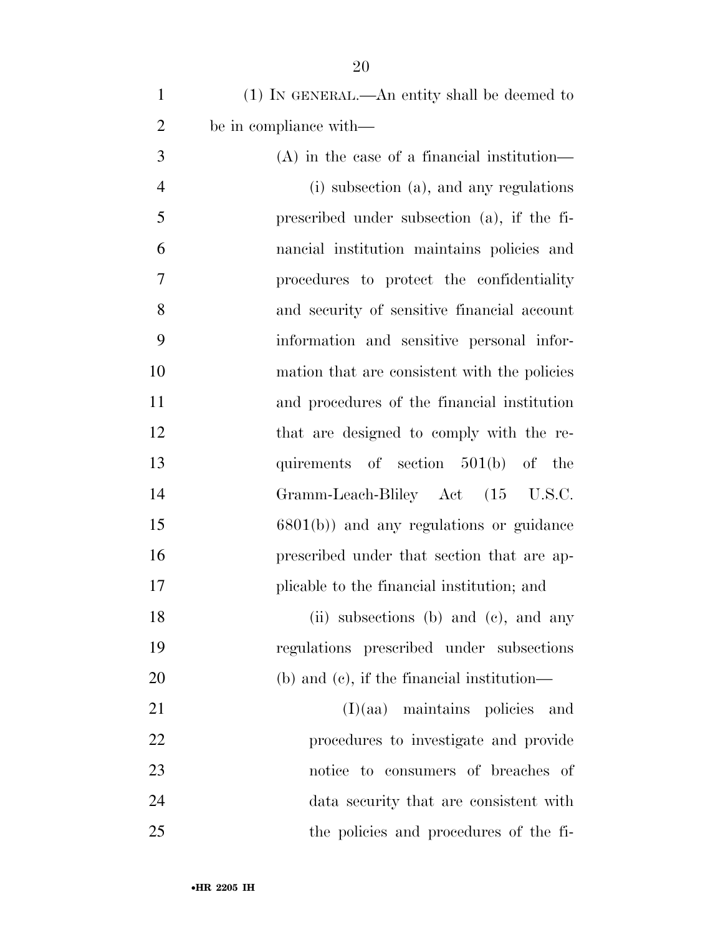| $\mathbf{1}$   | $(1)$ In GENERAL.—An entity shall be deemed to  |
|----------------|-------------------------------------------------|
| $\overline{2}$ | be in compliance with—                          |
| 3              | $(A)$ in the case of a financial institution—   |
| $\overline{4}$ | (i) subsection (a), and any regulations         |
| 5              | prescribed under subsection (a), if the fi-     |
| 6              | nancial institution maintains policies and      |
| 7              | procedures to protect the confidentiality       |
| 8              | and security of sensitive financial account     |
| 9              | information and sensitive personal infor-       |
| 10             | mation that are consistent with the policies    |
| 11             | and procedures of the financial institution     |
| 12             | that are designed to comply with the re-        |
| 13             | quirements of section 501(b) of the             |
| 14             | Gramm-Leach-Bliley Act (15 U.S.C.               |
| 15             | $6801(b)$ and any regulations or guidance       |
| 16             | prescribed under that section that are ap-      |
| 17             | plicable to the financial institution; and      |
| 18             | (ii) subsections (b) and (c), and any           |
| 19             | regulations prescribed under subsections        |
| 20             | $(b)$ and $(c)$ , if the financial institution— |
| 21             | $(I)(aa)$ maintains policies<br>and             |
| $22\,$         | procedures to investigate and provide           |
| 23             | notice to consumers of breaches of              |
| 24             | data security that are consistent with          |
| 25             | the policies and procedures of the fi-          |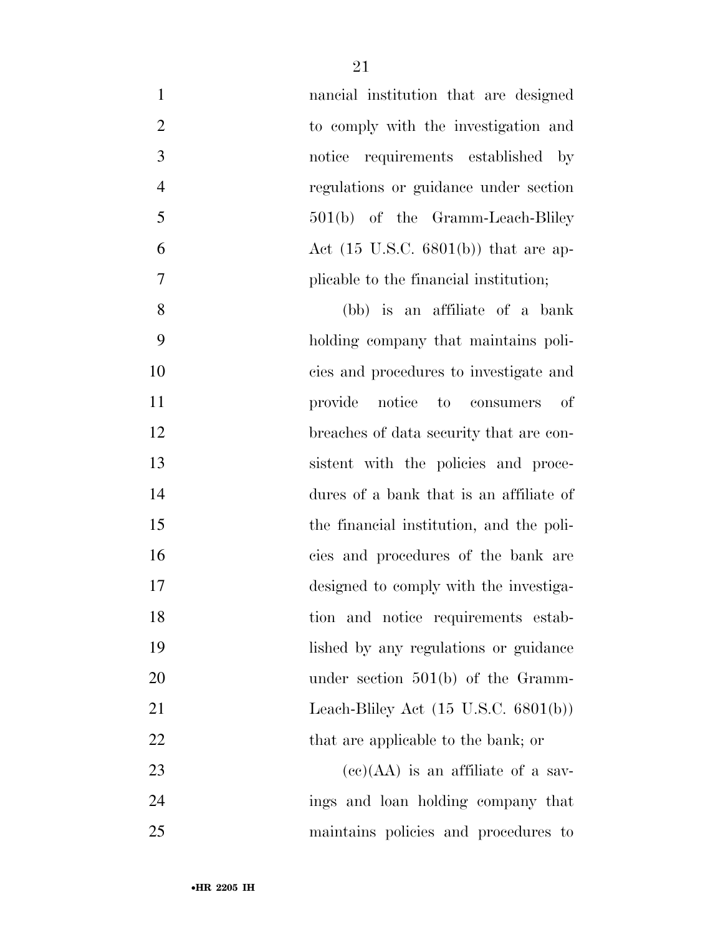| $\mathbf{1}$   | nancial institution that are designed           |
|----------------|-------------------------------------------------|
| $\overline{2}$ | to comply with the investigation and            |
| $\mathfrak{Z}$ | notice requirements established by              |
| $\overline{4}$ | regulations or guidance under section           |
| 5              | $501(b)$ of the Gramm-Leach-Bliley              |
| 6              | Act $(15 \text{ U.S.C. } 6801(b))$ that are ap- |
| $\overline{7}$ | plicable to the financial institution;          |
| 8              | (bb) is an affiliate of a bank                  |
| 9              | holding company that maintains poli-            |
| 10             | cies and procedures to investigate and          |
| 11             | provide notice to consumers<br>of               |
| 12             | breaches of data security that are con-         |
| 13             | sistent with the policies and proce-            |
| 14             | dures of a bank that is an affiliate of         |
| 15             | the financial institution, and the poli-        |
| 16             | cies and procedures of the bank are             |
| 17             | designed to comply with the investiga-          |
| 18             | tion and notice requirements estab-             |
| 19             | lished by any regulations or guidance           |
| 20             | under section $501(b)$ of the Gramm-            |
| 21             | Leach-Bliley Act $(15 \text{ U.S.C. } 6801(b))$ |
| 22             | that are applicable to the bank; or             |
| 23             | $(ce)(AA)$ is an affiliate of a sav-            |
| 24             | ings and loan holding company that              |
| 25             | maintains policies and procedures to            |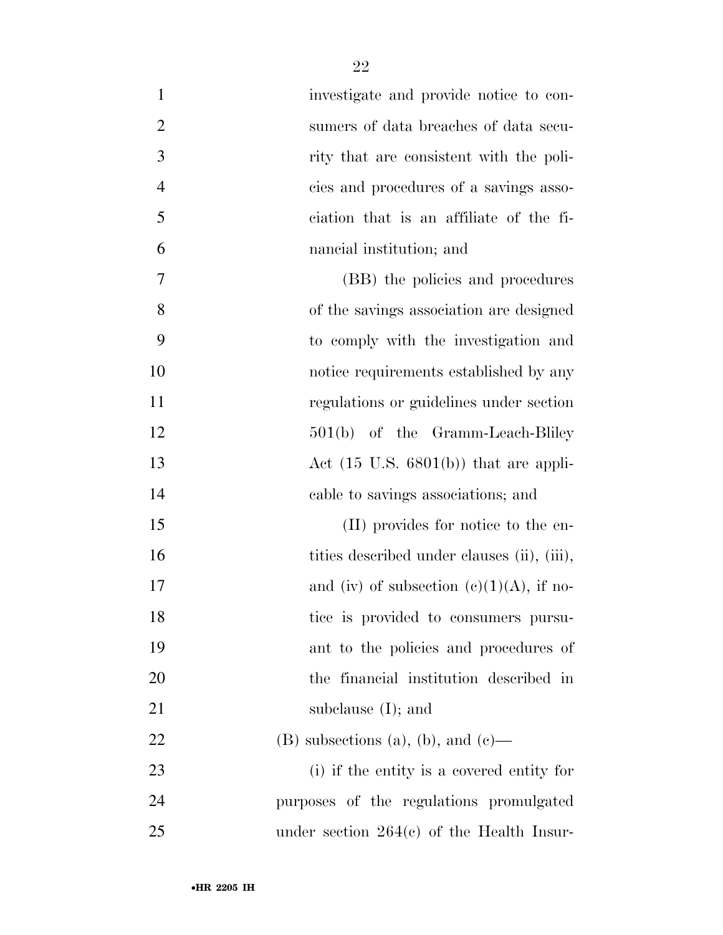| 1              | investigate and provide notice to con-           |
|----------------|--------------------------------------------------|
| $\overline{2}$ | sumers of data breaches of data secu-            |
| 3              | rity that are consistent with the poli-          |
| $\overline{4}$ | cies and procedures of a savings asso-           |
| 5              | ciation that is an affiliate of the fi-          |
| 6              | nancial institution; and                         |
| 7              | (BB) the policies and procedures                 |
| 8              | of the savings association are designed          |
| 9              | to comply with the investigation and             |
| 10             | notice requirements established by any           |
| 11             | regulations or guidelines under section          |
| 12             | $501(b)$ of the Gramm-Leach-Bliley               |
| 13             | Act $(15 \text{ U.S. } 6801(b))$ that are appli- |
| 14             | cable to savings associations; and               |
| 15             | (II) provides for notice to the en-              |
| 16             | tities described under clauses (ii), (iii),      |
| 17             | and (iv) of subsection $(c)(1)(A)$ , if no-      |
| 18             | tice is provided to consumers pursu-             |
| 19             | ant to the policies and procedures of            |
| 20             | the financial institution described in           |
| 21             | subclause $(I)$ ; and                            |
| 22             | $(B)$ subsections (a), (b), and (c)—             |
| 23             | (i) if the entity is a covered entity for        |
| 24             | purposes of the regulations promulgated          |
| 25             | under section $264(e)$ of the Health Insur-      |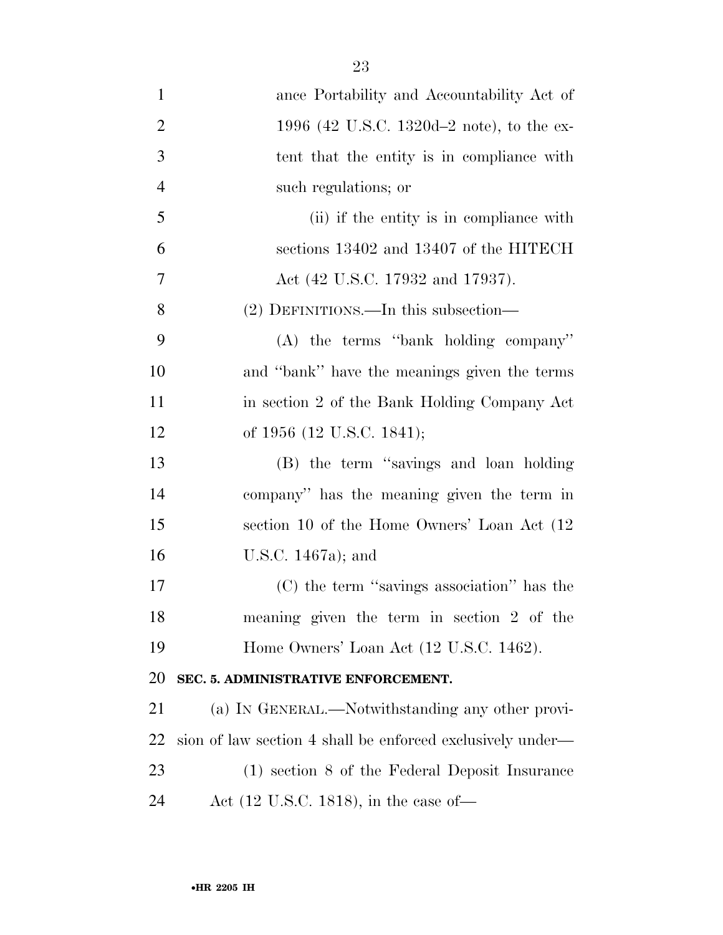| $\mathbf{1}$   | ance Portability and Accountability Act of                 |
|----------------|------------------------------------------------------------|
| $\overline{2}$ | 1996 (42 U.S.C. 1320d–2 note), to the ex-                  |
| 3              | tent that the entity is in compliance with                 |
| $\overline{4}$ | such regulations; or                                       |
| 5              | (ii) if the entity is in compliance with                   |
| 6              | sections 13402 and 13407 of the HITECH                     |
| 7              | Act (42 U.S.C. 17932 and 17937).                           |
| 8              | (2) DEFINITIONS.—In this subsection—                       |
| 9              | $(A)$ the terms "bank holding company"                     |
| 10             | and "bank" have the meanings given the terms               |
| 11             | in section 2 of the Bank Holding Company Act               |
| 12             | of 1956 (12 U.S.C. 1841);                                  |
| 13             | (B) the term "savings and loan holding                     |
| 14             | company" has the meaning given the term in                 |
| 15             | section 10 of the Home Owners' Loan Act (12)               |
| 16             | U.S.C. $1467a$ ; and                                       |
| 17             | (C) the term "savings association" has the                 |
| 18             | meaning given the term in section 2 of the                 |
| 19             | Home Owners' Loan Act (12 U.S.C. 1462).                    |
| 20             | SEC. 5. ADMINISTRATIVE ENFORCEMENT.                        |
| 21             | (a) IN GENERAL.—Notwithstanding any other provi-           |
| 22             | sion of law section 4 shall be enforced exclusively under— |
| 23             | (1) section 8 of the Federal Deposit Insurance             |
| 24             | Act $(12 \text{ U.S.C. } 1818)$ , in the case of-          |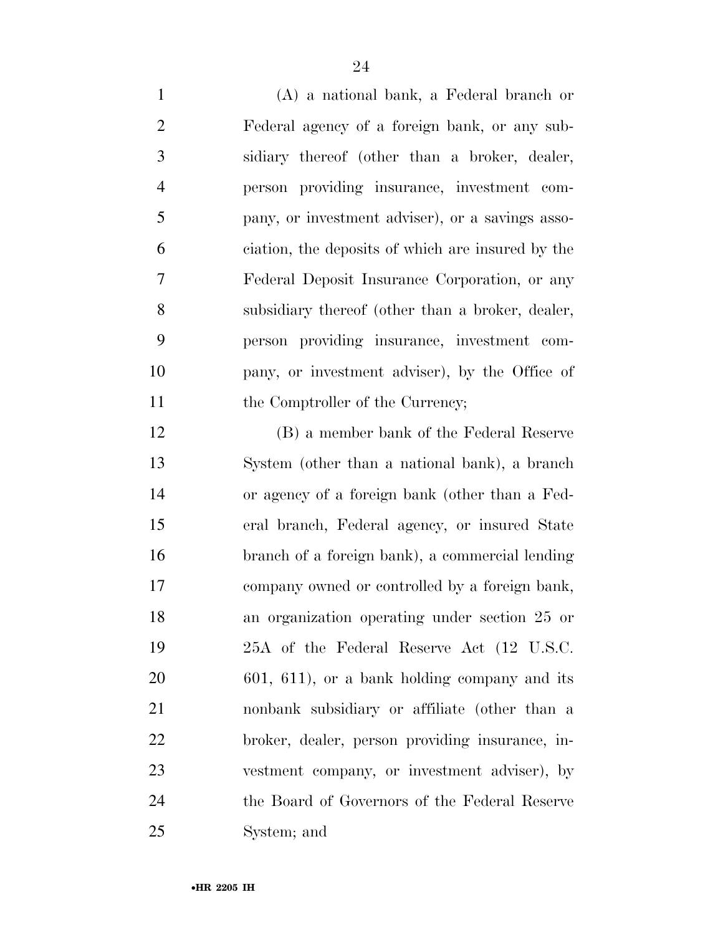(A) a national bank, a Federal branch or Federal agency of a foreign bank, or any sub- sidiary thereof (other than a broker, dealer, person providing insurance, investment com- pany, or investment adviser), or a savings asso- ciation, the deposits of which are insured by the Federal Deposit Insurance Corporation, or any subsidiary thereof (other than a broker, dealer, person providing insurance, investment com- pany, or investment adviser), by the Office of 11 the Comptroller of the Currency;

 (B) a member bank of the Federal Reserve System (other than a national bank), a branch or agency of a foreign bank (other than a Fed- eral branch, Federal agency, or insured State branch of a foreign bank), a commercial lending company owned or controlled by a foreign bank, an organization operating under section 25 or 25A of the Federal Reserve Act (12 U.S.C. 601, 611), or a bank holding company and its nonbank subsidiary or affiliate (other than a broker, dealer, person providing insurance, in- vestment company, or investment adviser), by the Board of Governors of the Federal Reserve System; and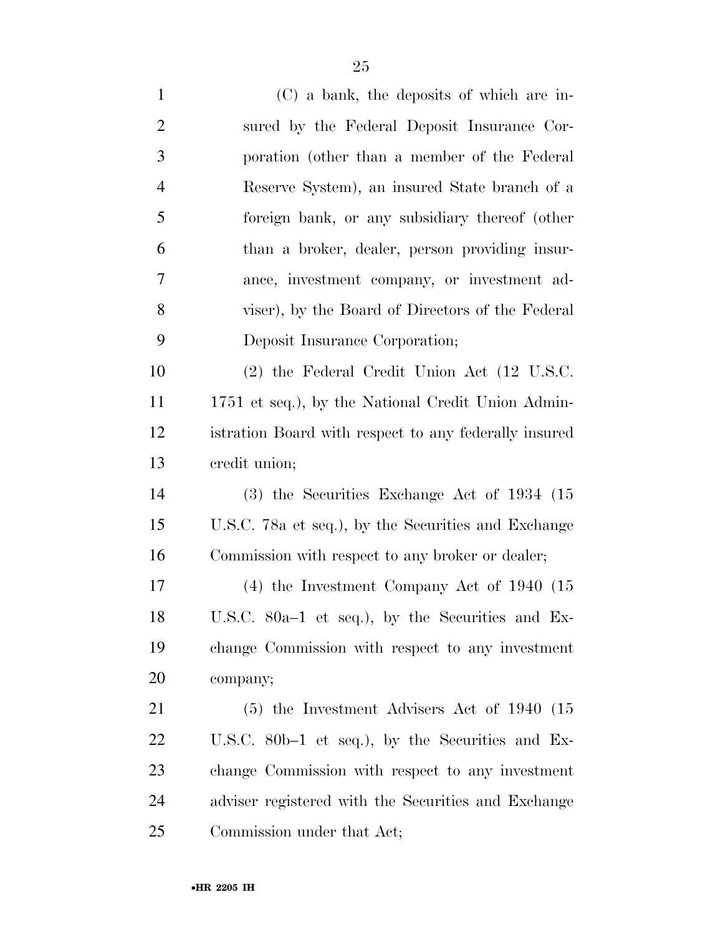(C) a bank, the deposits of which are in- sured by the Federal Deposit Insurance Cor- poration (other than a member of the Federal Reserve System), an insured State branch of a foreign bank, or any subsidiary thereof (other than a broker, dealer, person providing insur- ance, investment company, or investment ad- viser), by the Board of Directors of the Federal Deposit Insurance Corporation; (2) the Federal Credit Union Act (12 U.S.C. 1751 et seq.), by the National Credit Union Admin- istration Board with respect to any federally insured credit union; (3) the Securities Exchange Act of 1934 (15 U.S.C. 78a et seq.), by the Securities and Exchange Commission with respect to any broker or dealer; (4) the Investment Company Act of 1940 (15 U.S.C. 80a–1 et seq.), by the Securities and Ex- change Commission with respect to any investment company; (5) the Investment Advisers Act of 1940 (15

 U.S.C. 80b–1 et seq.), by the Securities and Ex- change Commission with respect to any investment adviser registered with the Securities and Exchange Commission under that Act;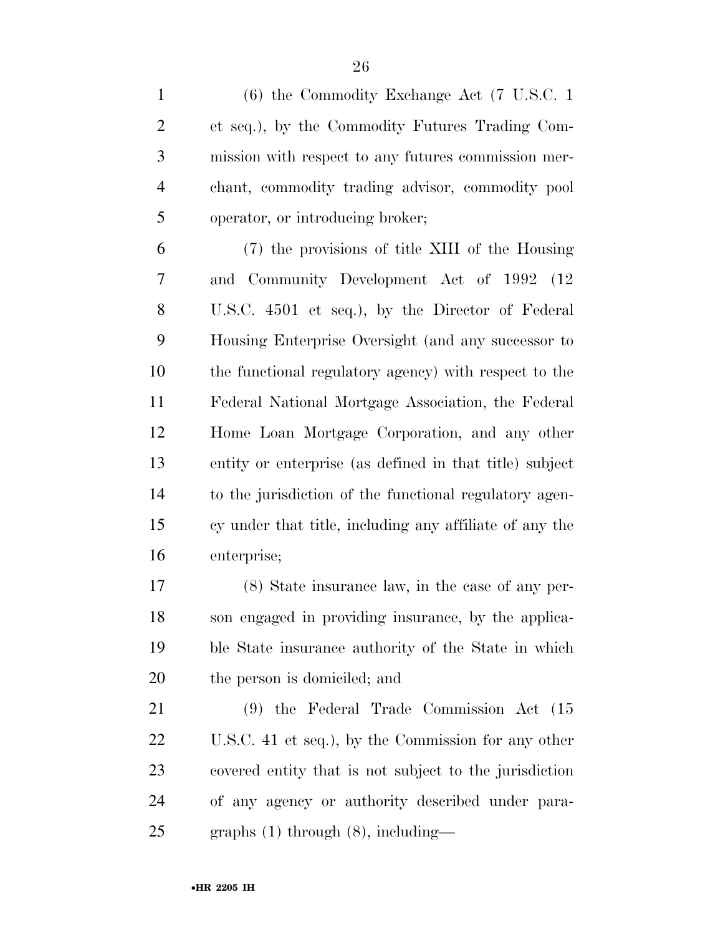| $\mathbf{1}$   | $(6)$ the Commodity Exchange Act $(7 \text{ U.S.C. 1})$ |
|----------------|---------------------------------------------------------|
| $\overline{2}$ | et seq.), by the Commodity Futures Trading Com-         |
| 3              | mission with respect to any futures commission mer-     |
| $\overline{4}$ | chant, commodity trading advisor, commodity pool        |
| 5              | operator, or introducing broker;                        |
| 6              | (7) the provisions of title XIII of the Housing         |
| 7              | and Community Development Act of 1992 (12)              |
| $8\,$          | U.S.C. 4501 et seq.), by the Director of Federal        |
| 9              | Housing Enterprise Oversight (and any successor to      |
| 10             | the functional regulatory agency) with respect to the   |
| 11             | Federal National Mortgage Association, the Federal      |
| 12             | Home Loan Mortgage Corporation, and any other           |
| 13             | entity or enterprise (as defined in that title) subject |
| 14             | to the jurisdiction of the functional regulatory agen-  |
| 15             | cy under that title, including any affiliate of any the |
| 16             | enterprise;                                             |
| 17             | $(8)$ State insurance law, in the case of any per-      |
| 18             | son engaged in providing insurance, by the applica-     |
| 19             | ble State insurance authority of the State in which     |
| 20             | the person is domiciled; and                            |
| 21             | $(9)$ the Federal Trade Commission Act $(15)$           |
| 22             | U.S.C. 41 et seq.), by the Commission for any other     |
| 23             | covered entity that is not subject to the jurisdiction  |
| 24             | of any agency or authority described under para-        |
| 25             | graphs $(1)$ through $(8)$ , including—                 |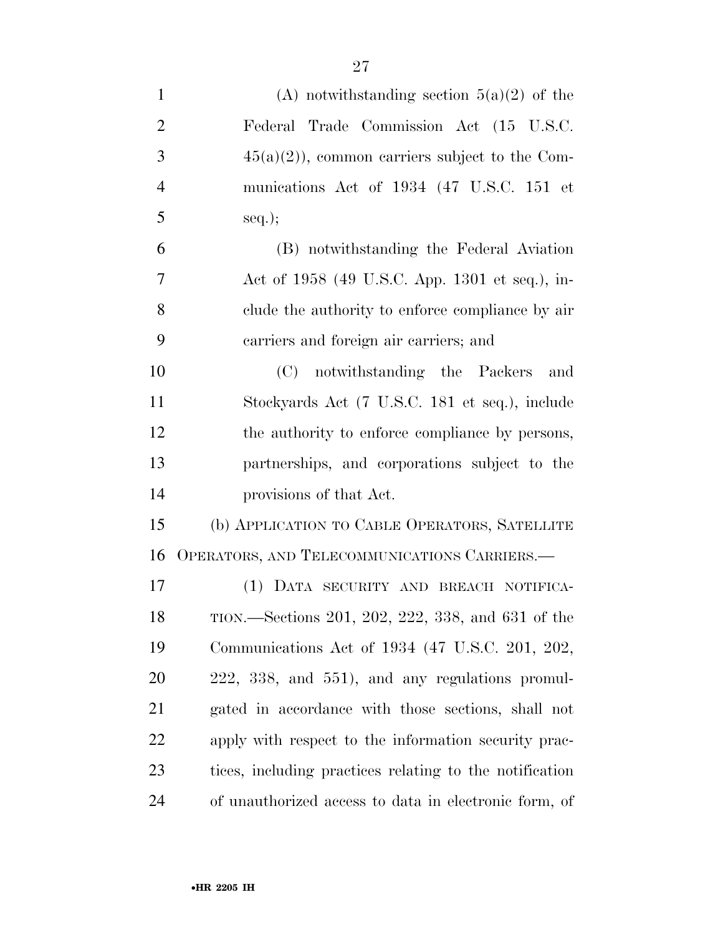| $\mathbf{1}$   | (A) notwithstanding section $5(a)(2)$ of the            |
|----------------|---------------------------------------------------------|
| $\overline{2}$ | Federal Trade Commission Act (15 U.S.C.                 |
| 3              | $45(a)(2)$ , common carriers subject to the Com-        |
| $\overline{4}$ | munications Act of 1934 (47 U.S.C. 151 et               |
| 5              | $seq.$ ;                                                |
| 6              | (B) notwithstanding the Federal Aviation                |
| 7              | Act of 1958 (49 U.S.C. App. 1301 et seq.), in-          |
| 8              | clude the authority to enforce compliance by air        |
| 9              | carriers and foreign air carriers; and                  |
| 10             | notwithstanding the Packers and<br>(C)                  |
| 11             | Stockyards Act (7 U.S.C. 181 et seq.), include          |
| 12             | the authority to enforce compliance by persons,         |
| 13             | partnerships, and corporations subject to the           |
| 14             | provisions of that Act.                                 |
| 15             | (b) APPLICATION TO CABLE OPERATORS, SATELLITE           |
| 16             | OPERATORS, AND TELECOMMUNICATIONS CARRIERS.—            |
| 17             | (1) DATA SECURITY AND BREACH NOTIFICA-                  |
| 18             | TION.—Sections 201, 202, 222, 338, and 631 of the       |
| 19             | Communications Act of 1934 (47 U.S.C. 201, 202,         |
| 20             | $222, 338,$ and $551$ ), and any regulations promul-    |
| 21             | gated in accordance with those sections, shall not      |
| 22             | apply with respect to the information security prac-    |
| 23             | tices, including practices relating to the notification |
| 24             | of unauthorized access to data in electronic form, of   |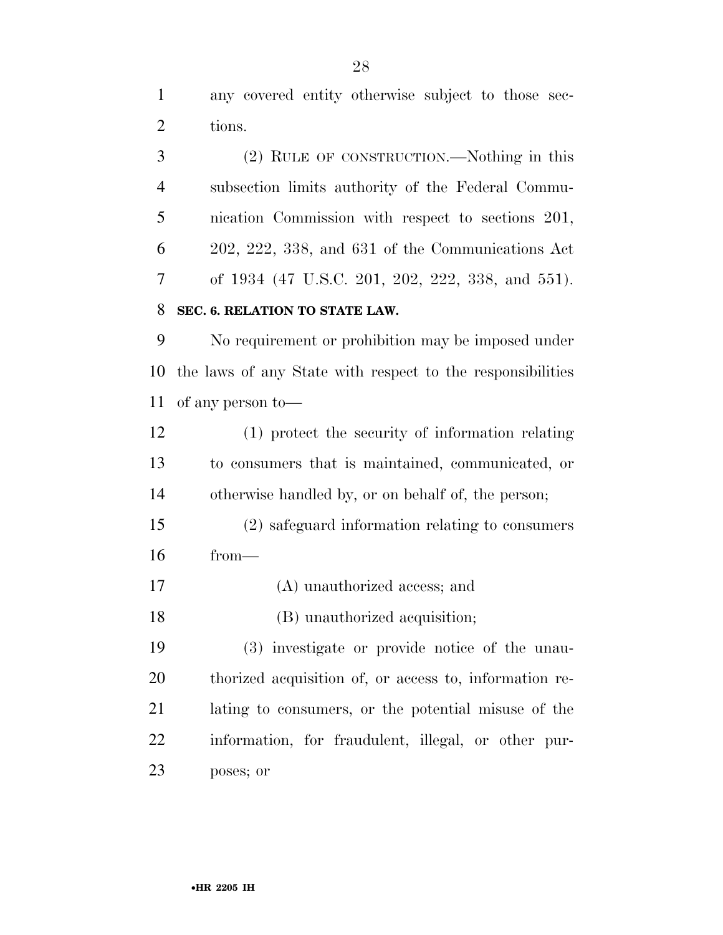any covered entity otherwise subject to those sec-tions.

 (2) RULE OF CONSTRUCTION.—Nothing in this subsection limits authority of the Federal Commu- nication Commission with respect to sections 201, 202, 222, 338, and 631 of the Communications Act of 1934 (47 U.S.C. 201, 202, 222, 338, and 551).

### **SEC. 6. RELATION TO STATE LAW.**

 No requirement or prohibition may be imposed under the laws of any State with respect to the responsibilities of any person to—

 (1) protect the security of information relating to consumers that is maintained, communicated, or otherwise handled by, or on behalf of, the person;

- (2) safeguard information relating to consumers from—
- (A) unauthorized access; and
- (B) unauthorized acquisition;

 (3) investigate or provide notice of the unau- thorized acquisition of, or access to, information re- lating to consumers, or the potential misuse of the information, for fraudulent, illegal, or other pur-poses; or